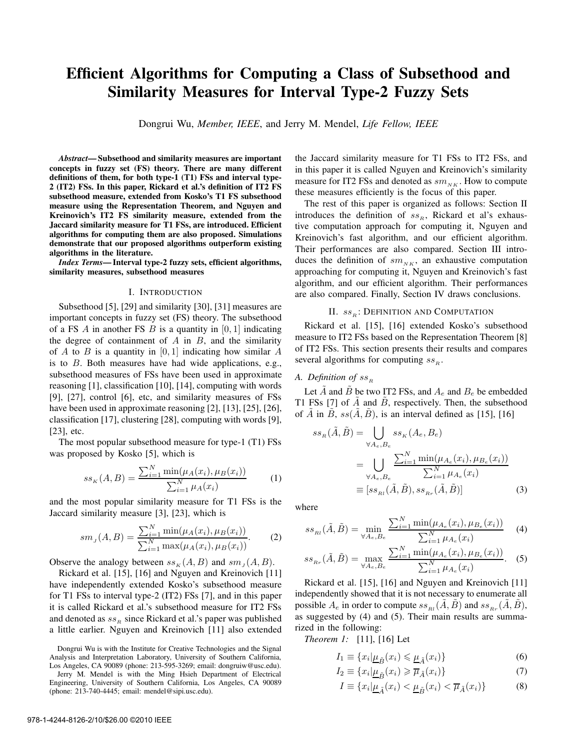# Efficient Algorithms for Computing a Class of Subsethood and Similarity Measures for Interval Type-2 Fuzzy Sets

Dongrui Wu, *Member, IEEE*, and Jerry M. Mendel, *Life Fellow, IEEE*

*Abstract*— Subsethood and similarity measures are important concepts in fuzzy set (FS) theory. There are many different definitions of them, for both type-1 (T1) FSs and interval type-2 (IT2) FSs. In this paper, Rickard et al.'s definition of IT2 FS subsethood measure, extended from Kosko's T1 FS subsethood measure using the Representation Theorem, and Nguyen and Kreinovich's IT2 FS similarity measure, extended from the Jaccard similarity measure for T1 FSs, are introduced. Efficient algorithms for computing them are also proposed. Simulations demonstrate that our proposed algorithms outperform existing algorithms in the literature.

*Index Terms*— Interval type-2 fuzzy sets, efficient algorithms, similarity measures, subsethood measures

#### I. INTRODUCTION

Subsethood [5], [29] and similarity [30], [31] measures are important concepts in fuzzy set (FS) theory. The subsethood of a FS A in another FS B is a quantity in  $[0, 1]$  indicating the degree of containment of  $A$  in  $B$ , and the similarity of A to B is a quantity in  $[0, 1]$  indicating how similar A is to B. Both measures have had wide applications, e.g., subsethood measures of FSs have been used in approximate reasoning [1], classification [10], [14], computing with words [9], [27], control [6], etc, and similarity measures of FSs have been used in approximate reasoning [2], [13], [25], [26], classification [17], clustering [28], computing with words [9], [23], etc.

The most popular subsethood measure for type-1 (T1) FSs was proposed by Kosko [5], which is

$$
ss_K(A, B) = \frac{\sum_{i=1}^{N} \min(\mu_A(x_i), \mu_B(x_i))}{\sum_{i=1}^{N} \mu_A(x_i)}
$$
(1)

and the most popular similarity measure for T1 FSs is the Jaccard similarity measure [3], [23], which is

$$
sm_j(A, B) = \frac{\sum_{i=1}^{N} \min(\mu_A(x_i), \mu_B(x_i))}{\sum_{i=1}^{N} \max(\mu_A(x_i), \mu_B(x_i))}.
$$
 (2)

Observe the analogy between  $ss_K(A, B)$  and  $sm_J(A, B)$ .

Rickard et al. [15], [16] and Nguyen and Kreinovich [11] have independently extended Kosko's subsethood measure for T1 FSs to interval type-2 (IT2) FSs [7], and in this paper it is called Rickard et al.'s subsethood measure for IT2 FSs and denoted as  $ss<sub>B</sub>$  since Rickard et al.'s paper was published a little earlier. Nguyen and Kreinovich [11] also extended

the Jaccard similarity measure for T1 FSs to IT2 FSs, and in this paper it is called Nguyen and Kreinovich's similarity measure for IT2 FSs and denoted as  $sm_{N,K}$ . How to compute these measures efficiently is the focus of this paper.

The rest of this paper is organized as follows: Section II introduces the definition of  $ss_R$ , Rickard et al's exhaustive computation approach for computing it, Nguyen and Kreinovich's fast algorithm, and our efficient algorithm. Their performances are also compared. Section III introduces the definition of  $sm_{NK}$ , an exhaustive computation approaching for computing it, Nguyen and Kreinovich's fast algorithm, and our efficient algorithm. Their performances are also compared. Finally, Section IV draws conclusions.

#### II.  $ss<sub>B</sub>$ : DEFINITION AND COMPUTATION

Rickard et al. [15], [16] extended Kosko's subsethood measure to IT2 FSs based on the Representation Theorem [8] of IT2 FSs. This section presents their results and compares several algorithms for computing  $ss<sub>B</sub>$ .

### *A. Definition of*  $ss_R$

Let  $\overline{A}$  and  $\overline{B}$  be two IT2 FSs, and  $A_e$  and  $B_e$  be embedded T1 FSs [7] of  $\ddot{A}$  and  $\ddot{B}$ , respectively. Then, the subsethood of  $\tilde{A}$  in  $\tilde{B}$ ,  $ss(\tilde{A}, \tilde{B})$ , is an interval defined as [15], [16]

$$
ss_R(\tilde{A}, \tilde{B}) = \bigcup_{\forall A_e, B_e} ss_K(A_e, B_e)
$$
  
= 
$$
\bigcup_{\forall A_e, B_e} \frac{\sum_{i=1}^N \min(\mu_{A_e}(x_i), \mu_{B_e}(x_i))}{\sum_{i=1}^N \mu_{A_e}(x_i)}
$$
  
 
$$
\equiv [ss_{R_l}(\tilde{A}, \tilde{B}), ss_{R_r}(\tilde{A}, \tilde{B})]
$$
(3)

where

$$
ss_{\text{R1}}(\tilde{A}, \tilde{B}) = \min_{\forall A_e, B_e} \frac{\sum_{i=1}^N \min(\mu_{A_e}(x_i), \mu_{B_e}(x_i))}{\sum_{i=1}^N \mu_{A_e}(x_i)}
$$
(4)

$$
ss_{Rr}(\tilde{A}, \tilde{B}) = \max_{\forall A_e, B_e} \frac{\sum_{i=1}^N \min(\mu_{A_e}(x_i), \mu_{B_e}(x_i))}{\sum_{i=1}^N \mu_{A_e}(x_i)}.
$$
 (5)

Rickard et al. [15], [16] and Nguyen and Kreinovich [11] independently showed that it is not necessary to enumerate all possible  $A_e$  in order to compute  $ss_{Rl}(\tilde{A}, \tilde{B})$  and  $ss_{Rr}(\tilde{A}, \tilde{B})$ , as suggested by (4) and (5). Their main results are summarized in the following:

*Theorem 1:* [11], [16] Let

$$
I_1 \equiv \{x_i | \underline{\mu}_{\tilde{B}}(x_i) \leq \underline{\mu}_{\tilde{A}}(x_i)\}\tag{6}
$$

$$
I_2 \equiv \{x_i | \underline{\mu}_{\tilde{B}}(x_i) \geqslant \overline{\mu}_{\tilde{A}}(x_i)\}\tag{7}
$$

$$
I \equiv \{x_i | \underline{\mu}_{\tilde{A}}(x_i) < \underline{\mu}_{\tilde{B}}(x_i) < \overline{\mu}_{\tilde{A}}(x_i)\}\tag{8}
$$

Dongrui Wu is with the Institute for Creative Technologies and the Signal Analysis and Interpretation Laboratory, University of Southern California, Los Angeles, CA 90089 (phone: 213-595-3269; email: dongruiw@usc.edu).

Jerry M. Mendel is with the Ming Hsieh Department of Electrical Engineering, University of Southern California, Los Angeles, CA 90089 (phone: 213-740-4445; email: mendel@sipi.usc.edu).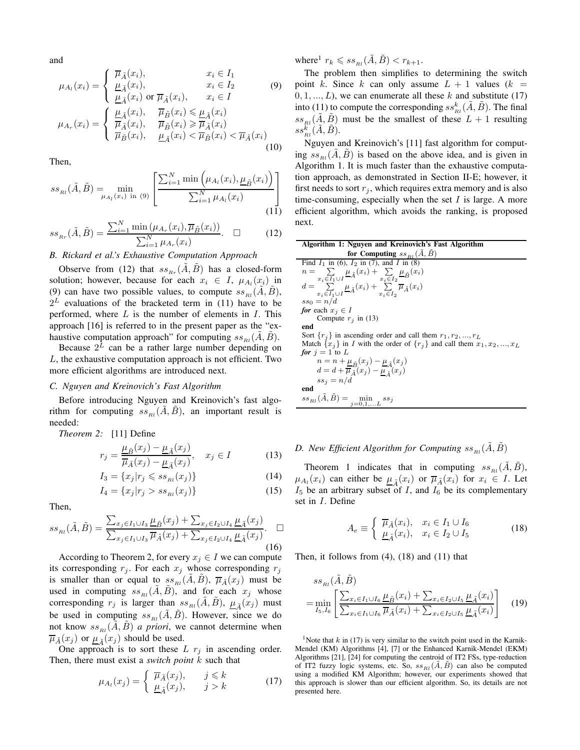and

$$
\mu_{A_l}(x_i) = \begin{cases}\n\overline{\mu}_{\tilde{A}}(x_i), & x_i \in I_1 \\
\frac{\mu}_{\tilde{A}}(x_i), & x_i \in I_2 \\
\frac{\mu}_{\tilde{A}}(x_i) \text{ or } \overline{\mu}_{\tilde{A}}(x_i), & x_i \in I\n\end{cases}
$$
\n
$$
\mu_{A_r}(x_i) = \begin{cases}\n\frac{\mu_{\tilde{A}}(x_i)}{\overline{\mu}_{\tilde{A}}(x_i), & \overline{\mu}_{\tilde{B}}(x_i) \le \underline{\mu}_{\tilde{A}}(x_i)} \\
\overline{\mu}_{\tilde{A}}(x_i), & \overline{\mu}_{\tilde{B}}(x_i) \ge \overline{\mu}_{\tilde{A}}(x_i) \\
\overline{\mu}_{\tilde{B}}(x_i), & \underline{\mu}_{\tilde{A}}(x_i) < \overline{\mu}_{\tilde{B}}(x_i) < \overline{\mu}_{\tilde{A}}(x_i)\n\end{cases}
$$
\n(10)

Then,

$$
ss_{_{Rl}}(\tilde{A}, \tilde{B}) = \min_{\mu_{A_l}(x_i) \text{ in (9)}} \left[ \frac{\sum_{i=1}^N \min\left(\mu_{A_l}(x_i), \underline{\mu}_{\tilde{B}}(x_i)\right)}{\sum_{i=1}^N \mu_{A_l}(x_i)} \right]
$$
(11)

$$
ss_{Rr}(\tilde{A}, \tilde{B}) = \frac{\sum_{i=1}^{N} \min(\mu_{Ar}(x_i), \overline{\mu}_{\tilde{B}}(x_i))}{\sum_{i=1}^{N} \mu_{Ar}(x_i)}.\quad \Box \tag{12}
$$

*B. Rickard et al.'s Exhaustive Computation Approach*

Observe from (12) that  $ss_{Br}(A, B)$  has a closed-form solution; however, because for each  $x_i \in I$ ,  $\mu_{A_i}(x_i)$  in (9) can have two possible values, to compute  $ss_{B}(\tilde{A}, \tilde{B})$ ,  $2^L$  evaluations of the bracketed term in (11) have to be performed, where  $L$  is the number of elements in  $I$ . This approach [16] is referred to in the present paper as the "exhaustive computation approach" for computing  $ss_{B}(A, B)$ .

Because  $2^L$  can be a rather large number depending on L, the exhaustive computation approach is not efficient. Two more efficient algorithms are introduced next.

#### *C. Nguyen and Kreinovich's Fast Algorithm*

Before introducing Nguyen and Kreinovich's fast algorithm for computing  $ss_{B}(A, B)$ , an important result is needed:

*Theorem 2:* [11] Define

$$
r_j = \frac{\underline{\mu}_{\tilde{B}}(x_j) - \underline{\mu}_{\tilde{A}}(x_j)}{\overline{\mu}_{\tilde{A}}(x_j) - \underline{\mu}_{\tilde{A}}(x_j)}, \quad x_j \in I \tag{13}
$$

$$
I_3 = \{x_j | r_j \leqslant ss_{Rl}(x_j)\}\tag{14}
$$

$$
I_4 = \{x_j | r_j > ss_{Rl}(x_j)\}\tag{15}
$$

Then,

$$
ss_{Rl}(\tilde{A}, \tilde{B}) = \frac{\sum_{x_j \in I_1 \cup I_3} \mu_{\tilde{B}}(x_j) + \sum_{x_j \in I_2 \cup I_4} \mu_{\tilde{A}}(x_j)}{\sum_{x_j \in I_1 \cup I_3} \overline{\mu}_{\tilde{A}}(x_j) + \sum_{x_j \in I_2 \cup I_4} \mu_{\tilde{A}}(x_j)}.
$$
(16)

According to Theorem 2, for every  $x_j \in I$  we can compute its corresponding  $r_j$ . For each  $x_j$  whose corresponding  $r_j$ is smaller than or equal to  $ss_{Rl}(\tilde{A}, \tilde{B}), \overline{\mu}_{\tilde{A}}(x_j)$  must be used in computing  $ss_{Rl}(A, B)$ , and for each  $x_j$  whose corresponding  $r_j$  is larger than  $ss_{Rl}(\tilde{A}, \tilde{B}), \mu_{\tilde{A}}(x_j)$  must be used in computing  $ss_{Rl}(A, B)$ . However, since we do not know  $ss_{Rl}(A, B)$  *a priori*, we cannot determine when  $\overline{\mu}_{\tilde{A}}(x_j)$  or  $\underline{\mu}_{\tilde{A}}(x_j)$  should be used.

One approach is to sort these  $L r_i$  in ascending order. Then, there must exist a *switch point* k such that

$$
\mu_{A_l}(x_j) = \begin{cases} \overline{\mu}_{\tilde{A}}(x_j), & j \leq k \\ \underline{\mu}_{\tilde{A}}(x_j), & j > k \end{cases}
$$
 (17)

where<sup>1</sup>  $r_k \leqslant ss_{Rl}(\tilde{A}, \tilde{B}) < r_{k+1}.$ 

The problem then simplifies to determining the switch point k. Since k can only assume  $L + 1$  values  $(k =$  $(0, 1, \ldots, L)$ , we can enumerate all these k and substitute (17) into (11) to compute the corresponding  $ss_{\scriptscriptstyle{RI}}^k(\tilde{A},\tilde{B})$ . The final  $ss_{Rl}(\tilde{A}, \tilde{B})$  must be the smallest of these  $L + 1$  resulting  $ss^{\tilde k}_{_{RI}}(\tilde A,\tilde B).$ 

Nguyen and Kreinovich's [11] fast algorithm for computing  $ss_{B}(A, B)$  is based on the above idea, and is given in Algorithm 1. It is much faster than the exhaustive computation approach, as demonstrated in Section II-E; however, it first needs to sort  $r_i$ , which requires extra memory and is also time-consuming, especially when the set  $I$  is large. A more efficient algorithm, which avoids the ranking, is proposed next.

| Algorithm 1: Nguyen and Kreinovich's Fast Algorithm                                                                                                                                  |  |  |  |  |  |
|--------------------------------------------------------------------------------------------------------------------------------------------------------------------------------------|--|--|--|--|--|
| for Computing $ss_{B}(A, B)$                                                                                                                                                         |  |  |  |  |  |
| Find $I_1$ in (6), $I_2$ in (7), and $I$ in (8)                                                                                                                                      |  |  |  |  |  |
|                                                                                                                                                                                      |  |  |  |  |  |
| $n = \sum_{\substack{x_i \in I_1 \cup I \\ x_i \in I_1 \cup I}} \underline{\mu}_{\tilde{A}}(x_i) + \sum_{\substack{x_i \in I_2 \\ x_i \in I_2}} \underline{\mu}_{\tilde{B}}(x_i) \\$ |  |  |  |  |  |
| $ss_0 = n/d$                                                                                                                                                                         |  |  |  |  |  |
| for each $x_i \in I$                                                                                                                                                                 |  |  |  |  |  |
| Compute $r_i$ in (13)                                                                                                                                                                |  |  |  |  |  |
| end                                                                                                                                                                                  |  |  |  |  |  |
| Sort $\{r_i\}$ in ascending order and call them $r_1, r_2, , r_L$                                                                                                                    |  |  |  |  |  |
| Match $\{x_i\}$ in I with the order of $\{r_j\}$ and call them $x_1, x_2, , x_L$                                                                                                     |  |  |  |  |  |
| for $j = 1$ to L                                                                                                                                                                     |  |  |  |  |  |
| $n = n + \mu_{\tilde{B}}(x_j) - \mu_{\tilde{A}}(x_j)$                                                                                                                                |  |  |  |  |  |
| $d = d + \overline{\mu}_{\tilde{A}}(x_j) - \mu_{\tilde{A}}(x_j)$                                                                                                                     |  |  |  |  |  |
| $ss_i = n/d$                                                                                                                                                                         |  |  |  |  |  |
| end                                                                                                                                                                                  |  |  |  |  |  |
| $ss_{Rl}(\tilde{A}, \tilde{B}) = \min_{j=0,1,L} ss_j$                                                                                                                                |  |  |  |  |  |

## D. New Efficient Algorithm for Computing  $ss_{_{Rl}}(\tilde{A}, \tilde{B})$

Theorem 1 indicates that in computing  $ss_{Rl}(\tilde{A}, \tilde{B})$ ,  $\mu_{A_i}(x_i)$  can either be  $\mu_{\tilde{A}}(x_i)$  or  $\overline{\mu}_{\tilde{A}}(x_i)$  for  $x_i \in I$ . Let  $I_5$  be an arbitrary subset of I, and  $I_6$  be its complementary set in I. Define

$$
A_e \equiv \begin{cases} \overline{\mu}_{\tilde{A}}(x_i), & x_i \in I_1 \cup I_6 \\ \underline{\mu}_{\tilde{A}}(x_i), & x_i \in I_2 \cup I_5 \end{cases}
$$
 (18)

Then, it follows from (4), (18) and (11) that

$$
ss_{\text{R1}}(\tilde{A}, \tilde{B})
$$
  
= 
$$
\min_{I_5, I_6} \left[ \frac{\sum_{x_i \in I_1 \cup I_6} \mu_{\tilde{B}}(x_i) + \sum_{x_i \in I_2 \cup I_5} \mu_{\tilde{A}}(x_i)}{\sum_{x_i \in I_1 \cup I_6} \overline{\mu}_{\tilde{A}}(x_i) + \sum_{x_i \in I_2 \cup I_5} \mu_{\tilde{A}}(x_i)} \right]
$$
(19)

<sup>1</sup>Note that k in (17) is very similar to the switch point used in the Karnik-Mendel (KM) Algorithms [4], [7] or the Enhanced Karnik-Mendel (EKM) Algorithms [21], [24] for computing the centroid of IT2 FSs, type-reduction of IT2 fuzzy logic systems, etc. So,  $ss_{Rl}(\tilde{A}, \tilde{B})$  can also be computed using a modified KM Algorithm; however, our experiments showed that this approach is slower than our efficient algorithm. So, its details are not presented here.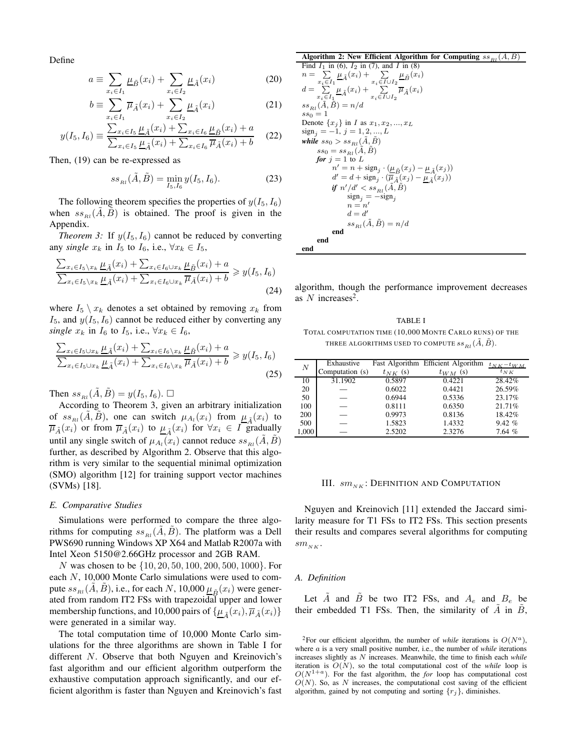Define

$$
a \equiv \sum_{x_i \in I_1} \underline{\mu}_{\tilde{B}}(x_i) + \sum_{x_i \in I_2} \underline{\mu}_{\tilde{A}}(x_i)
$$
 (20)

$$
b \equiv \sum_{x_i \in I_1} \overline{\mu}_{\tilde{A}}(x_i) + \sum_{x_i \in I_2} \underline{\mu}_{\tilde{A}}(x_i)
$$
 (21)

$$
y(I_5, I_6) \equiv \frac{\sum_{x_i \in I_5} \underline{\mu}_{\tilde{A}}(x_i) + \sum_{x_i \in I_6} \underline{\mu}_{\tilde{B}}(x_i) + a}{\sum_{x_i \in I_5} \underline{\mu}_{\tilde{A}}(x_i) + \sum_{x_i \in I_6} \overline{\mu}_{\tilde{A}}(x_i) + b}
$$
(22)

Then, (19) can be re-expressed as

$$
ss_{Rl}(\tilde{A}, \tilde{B}) = \min_{I_5, I_6} y(I_5, I_6).
$$
 (23)

The following theorem specifies the properties of  $y(I_5, I_6)$ when  $ss_{Rl}(\tilde{A}, \tilde{B})$  is obtained. The proof is given in the Appendix.

*Theorem 3:* If  $y(I_5, I_6)$  cannot be reduced by converting any *single*  $x_k$  in  $I_5$  to  $I_6$ , i.e.,  $\forall x_k \in I_5$ ,

$$
\frac{\sum_{x_i \in I_5 \setminus x_k} \underline{\mu}_{\tilde{A}}(x_i) + \sum_{x_i \in I_6 \cup x_k} \underline{\mu}_{\tilde{B}}(x_i) + a}{\sum_{x_i \in I_5 \setminus x_k} \underline{\mu}_{\tilde{A}}(x_i) + \sum_{x_i \in I_6 \cup x_k} \overline{\mu}_{\tilde{A}}(x_i) + b} \geqslant y(I_5, I_6)
$$
\n(24)

where  $I_5 \setminus x_k$  denotes a set obtained by removing  $x_k$  from  $I_5$ , and  $y(I_5, I_6)$  cannot be reduced either by converting any *single*  $x_k$  in  $I_6$  to  $I_5$ , i.e.,  $\forall x_k \in I_6$ ,

$$
\frac{\sum_{x_i \in I_5 \cup x_k} \underline{\mu}_{\tilde{A}}(x_i) + \sum_{x_i \in I_6 \setminus x_k} \underline{\mu}_{\tilde{B}}(x_i) + a}{\sum_{x_i \in I_5 \cup x_k} \underline{\mu}_{\tilde{A}}(x_i) + \sum_{x_i \in I_6 \setminus x_k} \overline{\mu}_{\tilde{A}}(x_i) + b} \ge y(I_5, I_6)
$$
\n(25)

Then  $ss_{B}(\tilde{A}, \tilde{B}) = y(I_5, I_6)$ .

According to Theorem 3, given an arbitrary initialization of  $ss_{R_l}(\tilde{A}, \tilde{B})$ , one can switch  $\mu_{A_l}(x_i)$  from  $\underline{\mu}_{\tilde{A}}(x_i)$  to  $\overline{\mu}_{\tilde{A}}(x_i)$  or from  $\overline{\mu}_{\tilde{A}}(x_i)$  to  $\underline{\mu}_{\tilde{A}}(x_i)$  for  $\forall x_i \in I$  gradually until any single switch of  $\mu_{A_l}(x_i)$  cannot reduce  $ss_{R_l}(\tilde{A}, \tilde{B})$ further, as described by Algorithm 2. Observe that this algorithm is very similar to the sequential minimal optimization (SMO) algorithm [12] for training support vector machines (SVMs) [18].

#### *E. Comparative Studies*

Simulations were performed to compare the three algorithms for computing  $ss_{B}(A, B)$ . The platform was a Dell PWS690 running Windows XP X64 and Matlab R2007a with Intel Xeon 5150@2.66GHz processor and 2GB RAM.

N was chosen to be {10, 20, 50, 100, 200, 500, 1000}. For each N, 10,000 Monte Carlo simulations were used to compute  $ss_{Rl}(\tilde{A}, \tilde{B})$ , i.e., for each N, 10,000  $\mu_{\tilde{B}}(x_i)$  were generated from random IT2 FSs with trapezoidal upper and lower membership functions, and 10,000 pairs of  $\{\underline{\mu}_{\tilde{A}}(x_i), \overline{\mu}_{\tilde{A}}(x_i)\}$ were generated in a similar way.

The total computation time of 10,000 Monte Carlo simulations for the three algorithms are shown in Table I for different N. Observe that both Nguyen and Kreinovich's fast algorithm and our efficient algorithm outperform the exhaustive computation approach significantly, and our efficient algorithm is faster than Nguyen and Kreinovich's fast

#### Algorithm 2: New Efficient Algorithm for Computing  $ss_R$  $(A, B)$

Find 
$$
I_1
$$
 in (6),  $I_2$  in (7), and  $I$  in (8)  
\n $n = \sum_{x_i \in I_1} \mu_{\tilde{A}}(x_i) + \sum_{x_i \in I \cup I_2} \mu_{\tilde{B}}(x_i)$   
\n $d = \sum_{x_i \in I_1} \mu_{\tilde{A}}(x_i) + \sum_{x_i \in I \cup I_2} \overline{\mu}_{\tilde{A}}(x_i)$   
\n $ss_{Rl}(\tilde{A}, \tilde{B}) = n/d$   
\n $ss_0 = 1$   
\nDenote  $\{x_j\}$  in  $I$  as  $x_1, x_2, ..., x_L$   
\n $sign_j = -1, j = 1, 2, ..., L$   
\nwhile  $ss_0 > ss_{Rl}(\tilde{A}, \tilde{B})$   
\n $ss_0 = ss_{Rl}(\tilde{A}, \tilde{B})$   
\nfor  $j = 1$  to  $L$   
\n $n' = n + sign_j \cdot (\mu_{\tilde{B}}(x_j) - \mu_{\tilde{A}}(x_j))$   
\n $d' = d + sign_j \cdot (\overline{\mu}_{\tilde{A}}(x_j) - \mu_{\tilde{A}}(x_j))$   
\nif  $n'/d' < ss_{Rl}(\tilde{A}, \tilde{B})$   
\n $sign_j = -sign_j$   
\n $d = d'$   
\n $ss_{Rl}(\tilde{A}, \tilde{B}) = n/d$   
\nend  
\nend  
\nend

end

algorithm, though the performance improvement decreases as N increases<sup>2</sup>.

TABLE I TOTAL COMPUTATION TIME (10,000 MONTE CARLO RUNS) OF THE THREE ALGORITHMS USED TO COMPUTE  $ss_{Rl}(\tilde{A}, \tilde{B})$ .

| $\boldsymbol{N}$ | Exhaustive      |              | Fast Algorithm Efficient Algorithm | $t_{N K} - t_{W M}$ |
|------------------|-----------------|--------------|------------------------------------|---------------------|
|                  | Computation (s) | $t_{NK}$ (s) | $t_{WM}$ (s)                       | $t_{NK}$            |
| 10               | 31.1902         | 0.5897       | 0.4221                             | 28.42%              |
| 20               |                 | 0.6022       | 0.4421                             | 26.59%              |
| 50               |                 | 0.6944       | 0.5336                             | 23.17%              |
| 100              |                 | 0.8111       | 0.6350                             | 21.71%              |
| 200              |                 | 0.9973       | 0.8136                             | 18.42%              |
| 500              |                 | 1.5823       | 1.4332                             | 9.42%               |
| 1,000            |                 | 2.5202       | 2.3276                             | 7.64%               |

#### III.  $sm_{NK}$ : DEFINITION AND COMPUTATION

Nguyen and Kreinovich [11] extended the Jaccard similarity measure for T1 FSs to IT2 FSs. This section presents their results and compares several algorithms for computing  $sm_{NK}$ .

#### *A. Definition*

Let  $\tilde{A}$  and  $\tilde{B}$  be two IT2 FSs, and  $A_e$  and  $B_e$  be their embedded T1 FSs. Then, the similarity of  $\vec{A}$  in  $\vec{B}$ ,

<sup>&</sup>lt;sup>2</sup>For our efficient algorithm, the number of *while* iterations is  $O(N^a)$ , where a is a very small positive number, i.e., the number of *while* iterations increases slightly as N increases. Meanwhile, the time to finish each *while* iteration is  $O(N)$ , so the total computational cost of the *while* loop is  $O(N^{1+a})$ . For the fast algorithm, the *for* loop has computational cost  $O(N)$ . So, as N increases, the computational cost saving of the efficient algorithm, gained by not computing and sorting  $\{r_j\}$ , diminishes.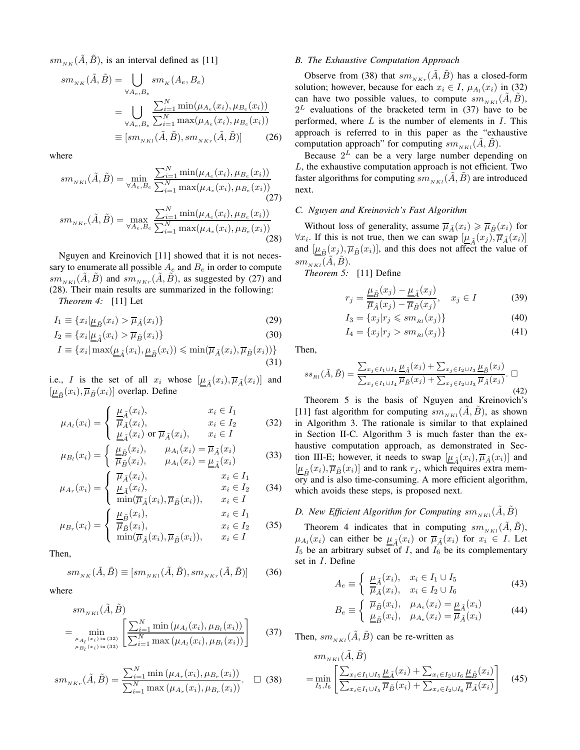$sm_{N\ltimes K}(\tilde{A}, \tilde{B})$ , is an interval defined as [11]

$$
sm_{_{NK}}(\tilde{A}, \tilde{B}) = \bigcup_{\forall A_e, B_e} sm_{_K}(A_e, B_e)
$$
  
= 
$$
\bigcup_{\forall A_e, B_e} \frac{\sum_{i=1}^{N} \min(\mu_{A_e}(x_i), \mu_{B_e}(x_i))}{\sum_{i=1}^{N} \max(\mu_{A_e}(x_i), \mu_{B_e}(x_i))}
$$
  
 
$$
\equiv [sm_{_{NKI}}(\tilde{A}, \tilde{B}), sm_{_{NKI}}(\tilde{A}, \tilde{B})]
$$
 (26)

where

$$
sm_{_{NKl}}(\tilde{A}, \tilde{B}) = \min_{\forall A_e, B_e} \frac{\sum_{i=1}^{N} \min(\mu_{A_e}(x_i), \mu_{B_e}(x_i))}{\sum_{i=1}^{N} \max(\mu_{A_e}(x_i), \mu_{B_e}(x_i))}
$$
\n
$$
sm_{_{NKr}}(\tilde{A}, \tilde{B}) = \max_{\forall A_e, B_e} \frac{\sum_{i=1}^{N} \min(\mu_{A_e}(x_i), \mu_{B_e}(x_i))}{\sum_{i=1}^{N} \max(\mu_{A_e}(x_i), \mu_{B_e}(x_i))}
$$
\n(28)

Nguyen and Kreinovich [11] showed that it is not necessary to enumerate all possible  $A_e$  and  $B_e$  in order to compute  $sm_{NKL}(A, B)$  and  $sm_{NKT}(A, B)$ , as suggested by (27) and (28). Their main results are summarized in the following:

*Theorem 4:* [11] Let

$$
I_1 \equiv \{x_i | \underline{\mu}_{\tilde{B}}(x_i) > \overline{\mu}_{\tilde{A}}(x_i) \}
$$
\n(29)

$$
I_2 \equiv \{x_i | \underline{\mu}_{\tilde{A}}(x_i) > \overline{\mu}_{\tilde{B}}(x_i) \}
$$
\n(30)

$$
I \equiv \{x_i | \max(\underline{\mu}_{\tilde{A}}(x_i), \underline{\mu}_{\tilde{B}}(x_i)) \le \min(\overline{\mu}_{\tilde{A}}(x_i), \overline{\mu}_{\tilde{B}}(x_i))\}
$$
(31)

i.e., I is the set of all  $x_i$  whose  $[\underline{\mu}_{\tilde{A}}(x_i), \overline{\mu}_{\tilde{A}}(x_i)]$  and  $[\underline{\mu}_{\tilde{B}}(x_i), \overline{\mu}_{\tilde{B}}(x_i)]$  overlap. Define

$$
\mu_{A_l}(x_i) = \begin{cases} \frac{\mu_{\tilde{A}}(x_i),}{\overline{\mu}_{\tilde{A}}(x_i),} & x_i \in I_1 \\ \frac{\mu_{\tilde{A}}(x_i)}{\mu_{\tilde{A}}(x_i)} \text{ or } \overline{\mu}_{\tilde{A}}(x_i), & x_i \in I \end{cases}
$$
(32)

$$
\mu_{B_l}(x_i) = \begin{cases} \frac{\mu_{\tilde{B}}(x_i), & \mu_{A_l}(x_i) = \overline{\mu}_{\tilde{A}}(x_i) \\ \overline{\mu}_{\tilde{B}}(x_i), & \mu_{A_l}(x_i) = \underline{\mu}_{\tilde{A}}(x_i) \end{cases}
$$
(33)

$$
\mu_{A_r}(x_i) = \begin{cases} \overline{\mu}_{\tilde{A}}(x_i), & x_i \in I_1 \\ \frac{\mu_{\tilde{A}}(x_i)}{\min(\overline{\mu}_{\tilde{A}}(x_i), \overline{\mu}_{\tilde{B}}(x_i))}, & x_i \in I_2 \\ \end{cases}
$$
(34)

$$
\mu_{B_r}(x_i) = \begin{cases} \frac{\mu_{\tilde{B}}(x_i), & x_i \in I_1 \\ \overline{\mu}_{\tilde{B}}(x_i), & x_i \in I_2 \\ \min(\overline{\mu}_{\tilde{A}}(x_i), \overline{\mu}_{\tilde{B}}(x_i)), & x_i \in I \end{cases}
$$
(35)

Then,

$$
sm_{_{NK}}(\tilde{A}, \tilde{B}) \equiv [sm_{_{NKl}}(\tilde{A}, \tilde{B}), sm_{_{NKr}}(\tilde{A}, \tilde{B})]
$$
(36)

where

$$
sm_{_{NKl}}(\tilde{A}, \tilde{B}) = \min_{\substack{\mu_{A_l}(x_i) \text{ in (32)}} \atop \mu_{B_l}(x_i) \text{ in (33)}} \left[ \frac{\sum_{i=1}^N \min \left( \mu_{A_l}(x_i), \mu_{B_l}(x_i) \right)}{\sum_{i=1}^N \max \left( \mu_{A_l}(x_i), \mu_{B_l}(x_i) \right)} \right]
$$
(37)

$$
sm_{_{NKr}}(\tilde{A}, \tilde{B}) = \frac{\sum_{i=1}^{N} \min(\mu_{A_r}(x_i), \mu_{B_r}(x_i))}{\sum_{i=1}^{N} \max(\mu_{A_r}(x_i), \mu_{B_r}(x_i))}.\quad \Box \quad (38)
$$

### *B. The Exhaustive Computation Approach*

Observe from (38) that  $sm_{NKT}(\tilde{A}, \tilde{B})$  has a closed-form solution; however, because for each  $x_i \in I$ ,  $\mu_{A_i}(x_i)$  in (32) can have two possible values, to compute  $sm_{NKL}(\tilde{A}, \tilde{B})$ ,  $2^L$  evaluations of the bracketed term in (37) have to be performed, where  $L$  is the number of elements in  $I$ . This approach is referred to in this paper as the "exhaustive computation approach" for computing  $sm_{NKL}(A, B)$ .

Because  $2^L$  can be a very large number depending on  $L$ , the exhaustive computation approach is not efficient. Two faster algorithms for computing  $sm_{NKL}(\tilde{A}, \tilde{B})$  are introduced next.

#### *C. Nguyen and Kreinovich's Fast Algorithm*

Without loss of generality, assume  $\overline{\mu}_{\tilde{A}}(x_i) \geq \overline{\mu}_{\tilde{B}}(x_i)$  for  $\forall x_i$ . If this is not true, then we can swap  $[\underline{\mu}_{\tilde{A}}(x_i), \overline{\mu}_{\tilde{A}}(x_i)]$ and  $[\underline{\mu}_{\tilde{B}}(x_j), \overline{\mu}_{\tilde{B}}(x_i)]$ , and this does not affect the value of  $sm_{NKL}(A, B)$ .

*Theorem 5:* [11] Define

$$
r_j = \frac{\underline{\mu}_{\tilde{B}}(x_j) - \underline{\mu}_{\tilde{A}}(x_j)}{\overline{\mu}_{\tilde{A}}(x_j) - \overline{\mu}_{\tilde{B}}(x_j)}, \quad x_j \in I \tag{39}
$$

$$
I_3 = \{x_j | r_j \leqslant sm_{_{Rl}}(x_j)\}\tag{40}
$$

$$
I_4 = \{x_j | r_j > sm_{_{Rl}}(x_j)\}\tag{41}
$$

Then,

$$
ss_{Rl}(\tilde{A}, \tilde{B}) = \frac{\sum_{x_j \in I_1 \cup I_4} \mu_{\tilde{A}}(x_j) + \sum_{x_j \in I_2 \cup I_3} \mu_{\tilde{B}}(x_j)}{\sum_{x_j \in I_1 \cup I_4} \overline{\mu}_{\tilde{B}}(x_j) + \sum_{x_j \in I_2 \cup I_3} \overline{\mu}_{\tilde{A}}(x_j)}.
$$
(42)

Theorem 5 is the basis of Nguyen and Kreinovich's [11] fast algorithm for computing  $sm_{NKL}(A, B)$ , as shown in Algorithm 3. The rationale is similar to that explained in Section II-C. Algorithm 3 is much faster than the exhaustive computation approach, as demonstrated in Section III-E; however, it needs to swap  $[\underline{\mu}_{\tilde{A}}(x_i), \overline{\mu}_{\tilde{A}}(x_i)]$  and  $[\underline{\mu}_{\tilde{B}}(x_i), \overline{\mu}_{\tilde{B}}(x_i)]$  and to rank  $r_j$ , which requires extra memory and is also time-consuming. A more efficient algorithm, which avoids these steps, is proposed next.

### *D. New Efficient Algorithm for Computing*  $sm_{NKL}(\tilde{A}, \tilde{B})$

Theorem 4 indicates that in computing  $sm_{NKL}(A, B)$ ,  $\mu_{A_i}(x_i)$  can either be  $\mu_{\tilde{A}}(x_i)$  or  $\overline{\mu}_{\tilde{A}}(x_i)$  for  $x_i \in I$ . Let  $I_5$  be an arbitrary subset of I, and  $I_6$  be its complementary set in I. Define

$$
A_e \equiv \begin{cases} \frac{\mu_{\tilde{A}}(x_i), & x_i \in I_1 \cup I_5\\ \overline{\mu}_{\tilde{A}}(x_i), & x_i \in I_2 \cup I_6 \end{cases}
$$
(43)

$$
B_e \equiv \begin{cases} \overline{\mu}_{\tilde{B}}(x_i), & \mu_{A_e}(x_i) = \underline{\mu}_{\tilde{A}}(x_i) \\ \underline{\mu}_{\tilde{B}}(x_i), & \mu_{A_e}(x_i) = \overline{\mu}_{\tilde{A}}(x_i) \end{cases}
$$
(44)

Then,  $sm_{NKL}(\tilde{A}, \tilde{B})$  can be re-written as

$$
sm_{NKL}(\tilde{A}, \tilde{B}) = \min_{I_5, I_6} \left[ \frac{\sum_{x_i \in I_1 \cup I_5} \underline{\mu}_{\tilde{A}}(x_i) + \sum_{x_i \in I_2 \cup I_6} \underline{\mu}_{\tilde{B}}(x_i)}{\sum_{x_i \in I_1 \cup I_5} \overline{\mu}_{\tilde{B}}(x_i) + \sum_{x_i \in I_2 \cup I_6} \overline{\mu}_{\tilde{A}}(x_i)} \right] \tag{45}
$$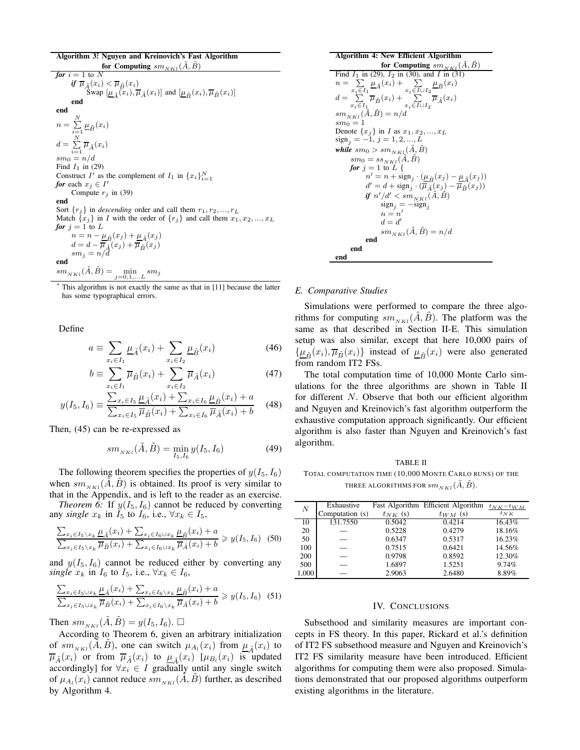Algorithm 3\* : Nguyen and Kreinovich's Fast Algorithm for Computing  $sm_{NKL}(\tilde{A}, \tilde{B})$ 

*for*  $i = 1$  to N  $\pmb{if} \; \overline{\mu}_{\tilde{A}}(x_i) < \overline{\mu}_{\tilde{B}}(x_i)$ Swap  $[\underline{\mu}_{\tilde{A}}(x_i), \overline{\mu}_{\tilde{A}}(x_i)]$  and  $[\underline{\mu}_{\tilde{B}}(x_i), \overline{\mu}_{\tilde{B}}(x_i)]$ <br>end end  $n =$  $\sum_{i=1}^N \underline{\mu}_{\tilde{B}}(x_i)$  $d = \sum_{i=1}^N \overline{\mu}_{\tilde{A}}(x_i)$  $sm_0=n/d$ Find  $I_1$  in (29) Construct I' as the complement of  $I_1$  in  $\{x_i\}_{i=1}^N$ *for* each  $x_j \in I'$ Compute  $r_j$  in (39) end Sort  $\{r_i\}$  in *descending* order and call them  $r_1, r_2, ..., r_L$ Match  $\{x_j\}$  in I with the order of  $\{r_j\}$  and call them  $x_1, x_2, ..., x_L$ *for*  $j = 1$  to L  $n = n - \underline{\mu}_{\tilde{B}}(x_j) + \underline{\mu}_{\tilde{A}}(x_j)$  $d = d - \overline{\mu}_{\tilde{A}}(x_j) + \overline{\mu}_{\tilde{B}}(x_j)$ <br>s $m_j = n/d$ end  $sm_{NKL}(A, \tilde{B}) =$  $\min_{j=0,1,...L} sm_j$ 

This algorithm is not exactly the same as that in [11] because the latter has some typographical errors.

Define

$$
a \equiv \sum_{x_i \in I_1} \underline{\mu}_{\tilde{A}}(x_i) + \sum_{x_i \in I_2} \underline{\mu}_{\tilde{B}}(x_i)
$$
(46)

$$
b \equiv \sum_{x_i \in I_1} \overline{\mu}_{\tilde{B}}(x_i) + \sum_{x_i \in I_2} \overline{\mu}_{\tilde{A}}(x_i)
$$
 (47)

$$
y(I_5, I_6) \equiv \frac{\sum_{x_i \in I_5} \underline{\mu}_{\tilde{A}}(x_i) + \sum_{x_i \in I_6} \underline{\mu}_{\tilde{B}}(x_i) + a}{\sum_{x_i \in I_5} \overline{\mu}_{\tilde{B}}(x_i) + \sum_{x_i \in I_6} \overline{\mu}_{\tilde{A}}(x_i) + b}
$$
(48)

Then, (45) can be re-expressed as

$$
sm_{NKL}(\tilde{A}, \tilde{B}) = \min_{I_5, I_6} y(I_5, I_6)
$$
 (49)

The following theorem specifies the properties of  $y(I_5, I_6)$ when  $sm_{NKL}(\tilde{A}, \tilde{B})$  is obtained. Its proof is very similar to that in the Appendix, and is left to the reader as an exercise.

*Theorem 6:* If  $y(I_5, I_6)$  cannot be reduced by converting any *single*  $x_k$  in  $I_5$  to  $I_6$ , i.e.,  $\forall x_k \in I_5$ ,

$$
\frac{\sum_{x_i \in I_5 \setminus x_k} \underline{\mu}_{\tilde{A}}(x_i) + \sum_{x_i \in I_6 \cup x_k} \underline{\mu}_{\tilde{B}}(x_i) + a}{\sum_{x_i \in I_5 \setminus x_k} \overline{\mu}_{\tilde{B}}(x_i) + \sum_{x_i \in I_6 \cup x_k} \overline{\mu}_{\tilde{A}}(x_i) + b} \ge y(I_5, I_6) \tag{50}
$$

and  $y(I_5, I_6)$  cannot be reduced either by converting any *single*  $x_k$  in  $I_6$  to  $I_5$ , i.e.,  $\forall x_k \in I_6$ ,

$$
\frac{\sum_{x_i \in I_5 \cup x_k} \underline{\mu}_{\tilde{A}}(x_i) + \sum_{x_i \in I_6 \setminus x_k} \underline{\mu}_{\tilde{B}}(x_i) + a}{\sum_{x_i \in I_5 \cup x_k} \overline{\mu}_{\tilde{B}}(x_i) + \sum_{x_i \in I_6 \setminus x_k} \overline{\mu}_{\tilde{A}}(x_i) + b} \geq y(I_5, I_6) \tag{51}
$$

Then  $sm_{NKL}(\tilde{A}, \tilde{B}) = y(I_5, I_6)$ .  $\Box$ 

According to Theorem 6, given an arbitrary initialization of  $sm_{NKL}(\tilde{A}, \tilde{B})$ , one can switch  $\mu_{A_l}(x_i)$  from  $\mu_{\tilde{A}}(x_i)$  to  $\overline{\mu}_{\tilde{A}}(x_i)$  or from  $\overline{\mu}_{\tilde{A}}(x_i)$  to  $\underline{\mu}_{\tilde{A}}(x_i)$  [ $\mu_{B_l}(x_i)$  is updated accordingly] for  $\forall x_i \in I$  gradually until any single switch of  $\mu_{A_l}(x_i)$  cannot reduce  $sm_{NKL}(\tilde{A}, \tilde{B})$  further, as described by Algorithm 4.

Algorithm 4: New Efficient Algorithm\nfor Computing 
$$
sm_{NKL}(\tilde{A}, \tilde{B})
$$
\nFind  $I_1$  in (29),  $I_2$  in (30), and  $I$  in (31)\n
$$
n = \sum_{x_i \in I_1} \underline{\mu}_{\tilde{A}}(x_i) + \sum_{x_i \in I \cup I_2} \underline{\mu}_{\tilde{B}}(x_i)
$$
\n
$$
d = \sum_{x_i \in I_1} \overline{\mu}_{\tilde{B}}(x_i) + \sum_{x_i \in I \cup I_2} \overline{\mu}_{\tilde{A}}(x_i)
$$
\n
$$
sm_{NKL}(\tilde{A}, \tilde{B}) = n/d
$$
\n
$$
sm_0 = 1
$$
\nDenote  $\{x_j\}$  in  $I$  as  $x_1, x_2, ..., x_L$ \n
$$
sign_j = -1, j = 1, 2, ..., L
$$
\nwhile  $sm_0 > sm_{NKl}(\tilde{A}, \tilde{B})$ \nfor  $j = 1$  to  $L$ \nfor  $n' = n + sign_j \cdot (\underline{\mu}_{\tilde{B}}(x_j) - \underline{\mu}_{\tilde{A}}(x_j))$ \n
$$
d' = d + sign_j \cdot (\overline{\mu}_{\tilde{A}}(x_j) - \overline{\mu}_{\tilde{B}}(x_j))
$$
\nif  $n'/d' < sm_{NKl}(\tilde{A}, \tilde{B})$ \n
$$
sign_j = -sign_j
$$
\n
$$
n = n'
$$
\n
$$
d = d'
$$
\n
$$
sm_{NKL}(\tilde{A}, \tilde{B}) = n/d
$$
\nend end

#### *E. Comparative Studies*

Simulations were performed to compare the three algorithms for computing  $sm_{NKL}(A, B)$ . The platform was the same as that described in Section II-E. This simulation setup was also similar, except that here 10,000 pairs of  $\{\underline{\mu}_{\tilde{B}}(x_i), \overline{\mu}_{\tilde{B}}(x_i)\}$  instead of  $\underline{\mu}_{\tilde{B}}(x_i)$  were also generated from random IT2 FSs.

The total computation time of 10,000 Monte Carlo simulations for the three algorithms are shown in Table II for different  $N$ . Observe that both our efficient algorithm and Nguyen and Kreinovich's fast algorithm outperform the exhaustive computation approach significantly. Our efficient algorithm is also faster than Nguyen and Kreinovich's fast algorithm.

TABLE II TOTAL COMPUTATION TIME (10,000 MONTE CARLO RUNS) OF THE THREE ALGORITHMS FOR  $sm_{NKL}(\tilde{A}, \tilde{B})$ .

| $\boldsymbol{N}$ | Exhaustive      |              | Fast Algorithm Efficient Algorithm | $t_{N K} - t_{WM}$ |
|------------------|-----------------|--------------|------------------------------------|--------------------|
|                  | Computation (s) | $t_{NK}$ (s) | $t_{WM}$ (s)                       | $t_{NK}$           |
| 10               | 131.7550        | 0.5042       | 0.4214                             | 16.43%             |
| 20               |                 | 0.5228       | 0.4279                             | 18.16%             |
| 50               |                 | 0.6347       | 0.5317                             | 16.23%             |
| 100              |                 | 0.7515       | 0.6421                             | 14.56%             |
| 200              |                 | 0.9798       | 0.8592                             | 12.30%             |
| 500              |                 | 1.6897       | 1.5251                             | 9.74%              |
| 1,000            |                 | 2.9063       | 2.6480                             | 8.89%              |

#### IV. CONCLUSIONS

Subsethood and similarity measures are important concepts in FS theory. In this paper, Rickard et al.'s definition of IT2 FS subsethood measure and Nguyen and Kreinovich's IT2 FS similarity measure have been introduced. Efficient algorithms for computing them were also proposed. Simulations demonstrated that our proposed algorithms outperform existing algorithms in the literature.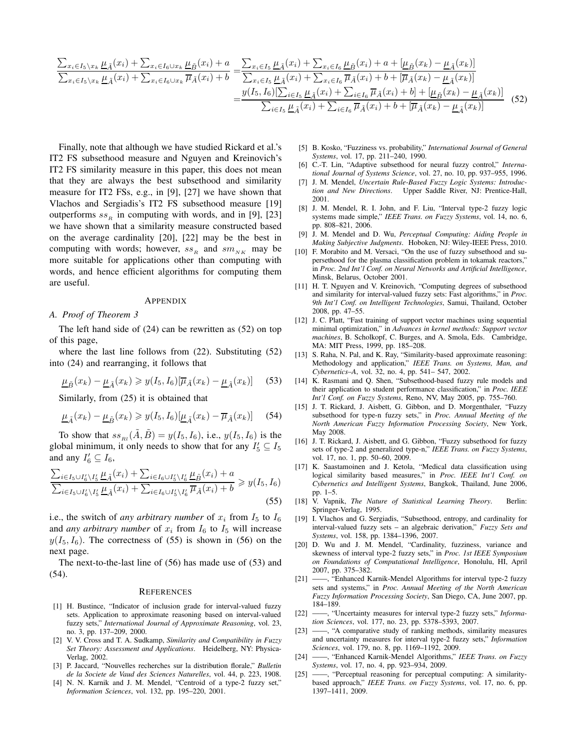$$
\frac{\sum_{x_i \in I_5 \setminus x_k} \mu_{\tilde{A}}(x_i) + \sum_{x_i \in I_6 \cup x_k} \mu_{\tilde{B}}(x_i) + a}{\sum_{x_i \in I_5 \setminus x_k} \mu_{\tilde{A}}(x_i) + \sum_{x_i \in I_6 \cup x_k} \overline{\mu}_{\tilde{A}}(x_i) + b} = \frac{\sum_{x_i \in I_5} \mu_{\tilde{A}}(x_i) + \sum_{x_i \in I_6} \mu_{\tilde{B}}(x_i) + a + [\mu_{\tilde{B}}(x_k) - \mu_{\tilde{A}}(x_k)]}{\sum_{x_i \in I_5} \mu_{\tilde{A}}(x_i) + \sum_{x_i \in I_6} \overline{\mu}_{\tilde{A}}(x_i) + b + [\overline{\mu}_{\tilde{A}}(x_k) - \mu_{\tilde{A}}(x_k)]}
$$
\n
$$
= \frac{y(I_5, I_6)[\sum_{i \in I_5} \mu_{\tilde{A}}(x_i) + \sum_{i \in I_6} \overline{\mu}_{\tilde{A}}(x_i) + b] + [\mu_{\tilde{B}}(x_k) - \mu_{\tilde{A}}(x_k)]}{\sum_{i \in I_5} \mu_{\tilde{A}}(x_i) + \sum_{i \in I_6} \overline{\mu}_{\tilde{A}}(x_i) + b + [\overline{\mu}_{\tilde{A}}(x_k) - \mu_{\tilde{A}}(x_k)]} \tag{52}
$$

Finally, note that although we have studied Rickard et al.'s IT2 FS subsethood measure and Nguyen and Kreinovich's IT2 FS similarity measure in this paper, this does not mean that they are always the best subsethood and similarity measure for IT2 FSs, e.g., in [9], [27] we have shown that Vlachos and Sergiadis's IT2 FS subsethood measure [19] outperforms  $ss<sub>R</sub>$  in computing with words, and in [9], [23] we have shown that a similarity measure constructed based on the average cardinality [20], [22] may be the best in computing with words; however,  $ss_R$  and  $sm_{NK}$  may be more suitable for applications other than computing with words, and hence efficient algorithms for computing them are useful.

#### APPENDIX

#### *A. Proof of Theorem 3*

The left hand side of (24) can be rewritten as (52) on top of this page,

where the last line follows from (22). Substituting (52) into (24) and rearranging, it follows that

$$
\underline{\mu}_{\tilde{B}}(x_k) - \underline{\mu}_{\tilde{A}}(x_k) \geqslant y(I_5, I_6)[\overline{\mu}_{\tilde{A}}(x_k) - \underline{\mu}_{\tilde{A}}(x_k)] \tag{53}
$$

Similarly, from (25) it is obtained that

$$
\underline{\mu}_{\tilde{A}}(x_k) - \underline{\mu}_{\tilde{B}}(x_k) \geqslant y(I_5, I_6)[\underline{\mu}_{\tilde{A}}(x_k) - \overline{\mu}_{\tilde{A}}(x_k)] \tag{54}
$$

To show that  $ss_{Rl}(\tilde{A}, \tilde{B}) = y(I_5, I_6)$ , i.e.,  $y(I_5, I_6)$  is the global minimum, it only needs to show that for any  $I'_5 \subseteq I_5$ and any  $I'_6 \subseteq I_6$ ,

$$
\frac{\sum_{i\in I_5\cup I'_6\setminus I'_5}\mu_{\tilde{A}}(x_i) + \sum_{i\in I_6\cup I'_5\setminus I'_6}\mu_{\tilde{B}}(x_i) + a}{\sum_{i\in I_5\cup I'_6\setminus I'_5}\mu_{\tilde{A}}(x_i) + \sum_{i\in I_6\cup I'_5\setminus I'_6}\mu_{\tilde{A}}(x_i) + b} \geqslant y(I_5, I_6)
$$
\n
$$
(55)
$$

i.e., the switch of *any arbitrary number* of  $x_i$  from  $I_5$  to  $I_6$ and *any arbitrary number* of  $x_i$  from  $I_6$  to  $I_5$  will increase  $y(I_5, I_6)$ . The correctness of (55) is shown in (56) on the next page.

The next-to-the-last line of (56) has made use of (53) and (54).

#### **REFERENCES**

- [1] H. Bustince, "Indicator of inclusion grade for interval-valued fuzzy sets. Application to approximate reasoning based on interval-valued fuzzy sets," *International Journal of Approximate Reasoning*, vol. 23, no. 3, pp. 137–209, 2000.
- [2] V. V. Cross and T. A. Sudkamp, *Similarity and Compatibility in Fuzzy Set Theory: Assessment and Applications*. Heidelberg, NY: Physica-Verlag, 2002.
- [3] P. Jaccard, "Nouvelles recherches sur la distribution florale," *Bulletin de la Societe de Vaud des Sciences Naturelles*, vol. 44, p. 223, 1908.
- [4] N. N. Karnik and J. M. Mendel, "Centroid of a type-2 fuzzy set," *Information Sciences*, vol. 132, pp. 195–220, 2001.
- [5] B. Kosko, "Fuzziness vs. probability," *International Journal of General Systems*, vol. 17, pp. 211–240, 1990.
- [6] C.-T. Lin, "Adaptive subsethood for neural fuzzy control," *International Journal of Systems Science*, vol. 27, no. 10, pp. 937–955, 1996.
- [7] J. M. Mendel, *Uncertain Rule-Based Fuzzy Logic Systems: Introduction and New Directions*. Upper Saddle River, NJ: Prentice-Hall, 2001.
- [8] J. M. Mendel, R. I. John, and F. Liu, "Interval type-2 fuzzy logic systems made simple," *IEEE Trans. on Fuzzy Systems*, vol. 14, no. 6, pp. 808–821, 2006.
- [9] J. M. Mendel and D. Wu, *Perceptual Computing: Aiding People in Making Subjective Judgments*. Hoboken, NJ: Wiley-IEEE Press, 2010.
- [10] F. Morabito and M. Versaci, "On the use of fuzzy subsethood and supersethood for the plasma classification problem in tokamak reactors," in *Proc. 2nd Int'l Conf. on Neural Networks and Artificial Intelligence*, Minsk, Belarus, October 2001.
- [11] H. T. Nguyen and V. Kreinovich, "Computing degrees of subsethood and similarity for interval-valued fuzzy sets: Fast algorithms," in *Proc. 9th Int'l Conf. on Intelligent Technologies*, Samui, Thailand, October 2008, pp. 47–55.
- [12] J. C. Platt, "Fast training of support vector machines using sequential minimal optimization," in *Advances in kernel methods: Support vector machines*, B. Scholkopf, C. Burges, and A. Smola, Eds. Cambridge, MA: MIT Press, 1999, pp. 185–208.
- [13] S. Raha, N. Pal, and K. Ray, "Similarity-based approximate reasoning: Methodology and application," *IEEE Trans. on Systems, Man, and Cybernetics–A*, vol. 32, no. 4, pp. 541– 547, 2002.
- [14] K. Rasmani and Q. Shen, "Subsethood-based fuzzy rule models and their application to student performance classification," in *Proc. IEEE Int'l Conf. on Fuzzy Systems*, Reno, NV, May 2005, pp. 755–760.
- [15] J. T. Rickard, J. Aisbett, G. Gibbon, and D. Morgenthaler, "Fuzzy subsethood for type-n fuzzy sets," in *Proc. Annual Meeting of the North American Fuzzy Information Processing Society*, New York, May 2008.
- [16] J. T. Rickard, J. Aisbett, and G. Gibbon, "Fuzzy subsethood for fuzzy sets of type-2 and generalized type-n," *IEEE Trans. on Fuzzy Systems*, vol. 17, no. 1, pp. 50–60, 2009.
- [17] K. Saastamoinen and J. Ketola, "Medical data classification using logical similarity based measures," in *Proc. IEEE Int'l Conf. on Cybernetics and Intelligent Systems*, Bangkok, Thailand, June 2006, pp. 1–5.
- [18] V. Vapnik, *The Nature of Statistical Learning Theory*. Berlin: Springer-Verlag, 1995.
- [19] I. Vlachos and G. Sergiadis, "Subsethood, entropy, and cardinality for interval-valued fuzzy sets – an algebraic derivation," *Fuzzy Sets and Systems*, vol. 158, pp. 1384–1396, 2007.
- [20] D. Wu and J. M. Mendel, "Cardinality, fuzziness, variance and skewness of interval type-2 fuzzy sets," in *Proc. 1st IEEE Symposium on Foundations of Computational Intelligence*, Honolulu, HI, April 2007, pp. 375–382.
- [21] ——, "Enhanced Karnik-Mendel Algorithms for interval type-2 fuzzy sets and systems," in *Proc. Annual Meeting of the North American Fuzzy Information Processing Society*, San Diego, CA, June 2007, pp. 184–189.
- [22] ——, "Uncertainty measures for interval type-2 fuzzy sets," *Information Sciences*, vol. 177, no. 23, pp. 5378–5393, 2007.
- [23] ——, "A comparative study of ranking methods, similarity measures and uncertainty measures for interval type-2 fuzzy sets," *Information Sciences*, vol. 179, no. 8, pp. 1169–1192, 2009.
- [24] ——, "Enhanced Karnik-Mendel Algorithms," *IEEE Trans. on Fuzzy Systems*, vol. 17, no. 4, pp. 923–934, 2009.
- [25] ——, "Perceptual reasoning for perceptual computing: A similaritybased approach," *IEEE Trans. on Fuzzy Systems*, vol. 17, no. 6, pp. 1397–1411, 2009.